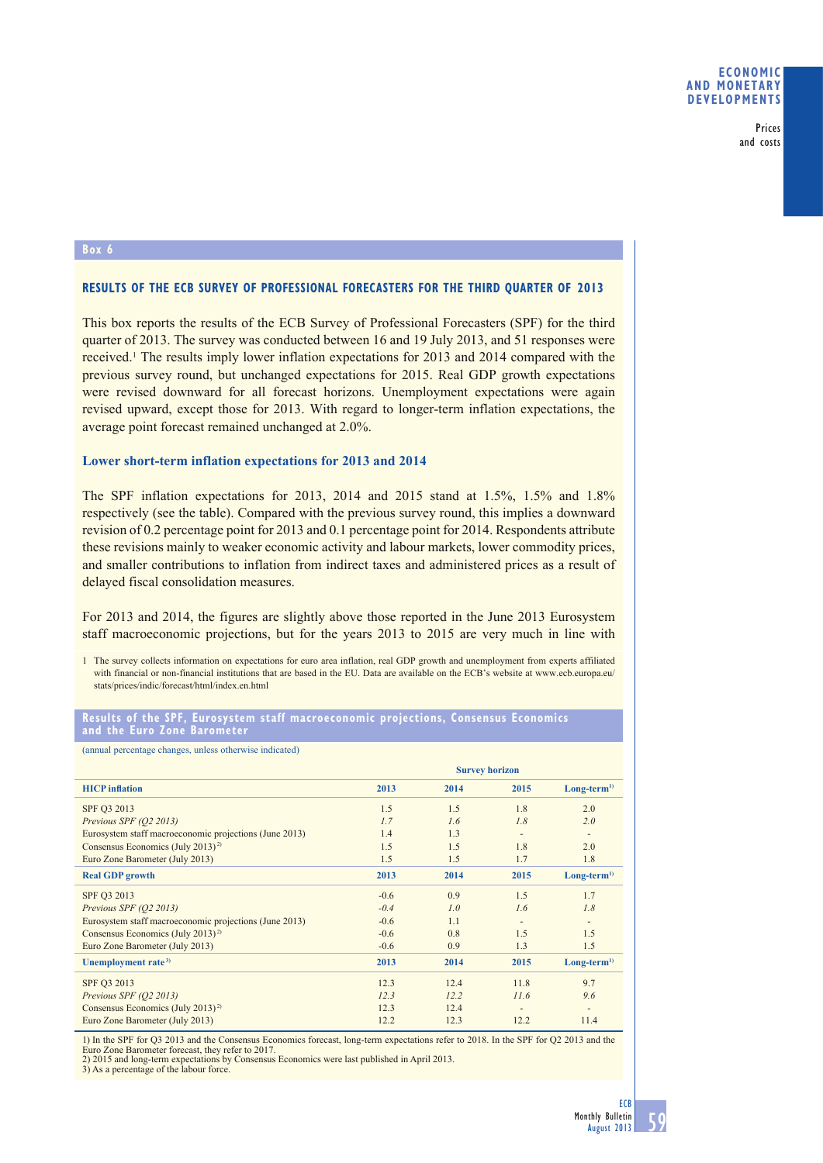Prices and costs

### **Box 6**

# **RESULTS OF THE ECB SURVEY OF PROFESSIONAL FORECASTERS FOR THE THIRD QUARTER OF 2013**

This box reports the results of the ECB Survey of Professional Forecasters (SPF) for the third quarter of 2013. The survey was conducted between 16 and 19 July 2013, and 51 responses were received.<sup>1</sup> The results imply lower inflation expectations for 2013 and 2014 compared with the previous survey round, but unchanged expectations for 2015. Real GDP growth expectations were revised downward for all forecast horizons. Unemployment expectations were again revised upward, except those for 2013. With regard to longer-term inflation expectations, the average point forecast remained unchanged at 2.0%.

## **Lower short-term inflation expectations for 2013 and 2014**

The SPF inflation expectations for 2013, 2014 and 2015 stand at 1.5%, 1.5% and 1.8% respectively (see the table). Compared with the previous survey round, this implies a downward revision of 0.2 percentage point for 2013 and 0.1 percentage point for 2014. Respondents attribute these revisions mainly to weaker economic activity and labour markets, lower commodity prices, and smaller contributions to inflation from indirect taxes and administered prices as a result of delayed fiscal consolidation measures.

For 2013 and 2014, the figures are slightly above those reported in the June 2013 Eurosystem staff macroeconomic projections, but for the years 2013 to 2015 are very much in line with

1 The survey collects information on expectations for euro area inflation, real GDP growth and unemployment from experts affiliated with financial or non-financial institutions that are based in the EU. Data are available on the ECB's website at www.ecb.europa.eu/ stats/prices/indic/forecast/html/index.en.html

#### **Results of the SPF, Eurosystem staff macroeconomic projections, Consensus Economics and the Euro Zone Barometer**

(annual percentage changes, unless otherwise indicated)

|                                                        | <b>Survey horizon</b> |      |                          |                          |
|--------------------------------------------------------|-----------------------|------|--------------------------|--------------------------|
| <b>HICP</b> inflation                                  | 2013                  | 2014 | 2015                     | $Long-term1$             |
| SPF Q3 2013                                            | 1.5                   | 1.5  | 1.8                      | 2.0                      |
| Previous SPF (Q2 2013)                                 | 1.7                   | 1.6  | 1.8                      | 2.0                      |
| Eurosystem staff macroeconomic projections (June 2013) | 1.4                   | 1.3  |                          | $\overline{\phantom{a}}$ |
| Consensus Economics (July 2013) <sup>2)</sup>          | 1.5                   | 1.5  | 1.8                      | 2.0                      |
| Euro Zone Barometer (July 2013)                        | 1.5                   | 1.5  | 1.7                      | 1.8                      |
| <b>Real GDP</b> growth                                 | 2013                  | 2014 | 2015                     | $Long-term1$             |
| SPF Q3 2013                                            | $-0.6$                | 0.9  | 1.5                      | 1.7                      |
| Previous SPF (O2 2013)                                 | $-0.4$                | 1.0  | 1.6                      | 1.8                      |
| Eurosystem staff macroeconomic projections (June 2013) | $-0.6$                | 1.1  | $\overline{\phantom{a}}$ | $\overline{\phantom{a}}$ |
| Consensus Economics (July 2013) <sup>2)</sup>          | $-0.6$                | 0.8  | 1.5                      | 1.5                      |
| Euro Zone Barometer (July 2013)                        | $-0.6$                | 0.9  | 1.3                      | 1.5                      |
| Unemployment rate <sup>3)</sup>                        | 2013                  | 2014 | 2015                     | $Long-term1$             |
| SPF Q3 2013                                            | 12.3                  | 12.4 | 11.8                     | 9.7                      |
| Previous SPF (Q2 2013)                                 | 12.3                  | 12.2 | 11.6                     | 9.6                      |
| Consensus Economics (July 2013) <sup>2)</sup>          | 12.3                  | 12.4 |                          | $\overline{\phantom{a}}$ |
| Euro Zone Barometer (July 2013)                        | 12.2                  | 12.3 | 12.2                     | 11.4                     |

1) In the SPF for Q3 2013 and the Consensus Economics forecast, long-term expectations refer to 2018. In the SPF for Q2 2013 and the Euro Zone Barometer forecast, they refer to 2017. 2) 2015 and long-term expectations by Consensus Economics were last published in April 2013.

3) As a percentage of the labour force.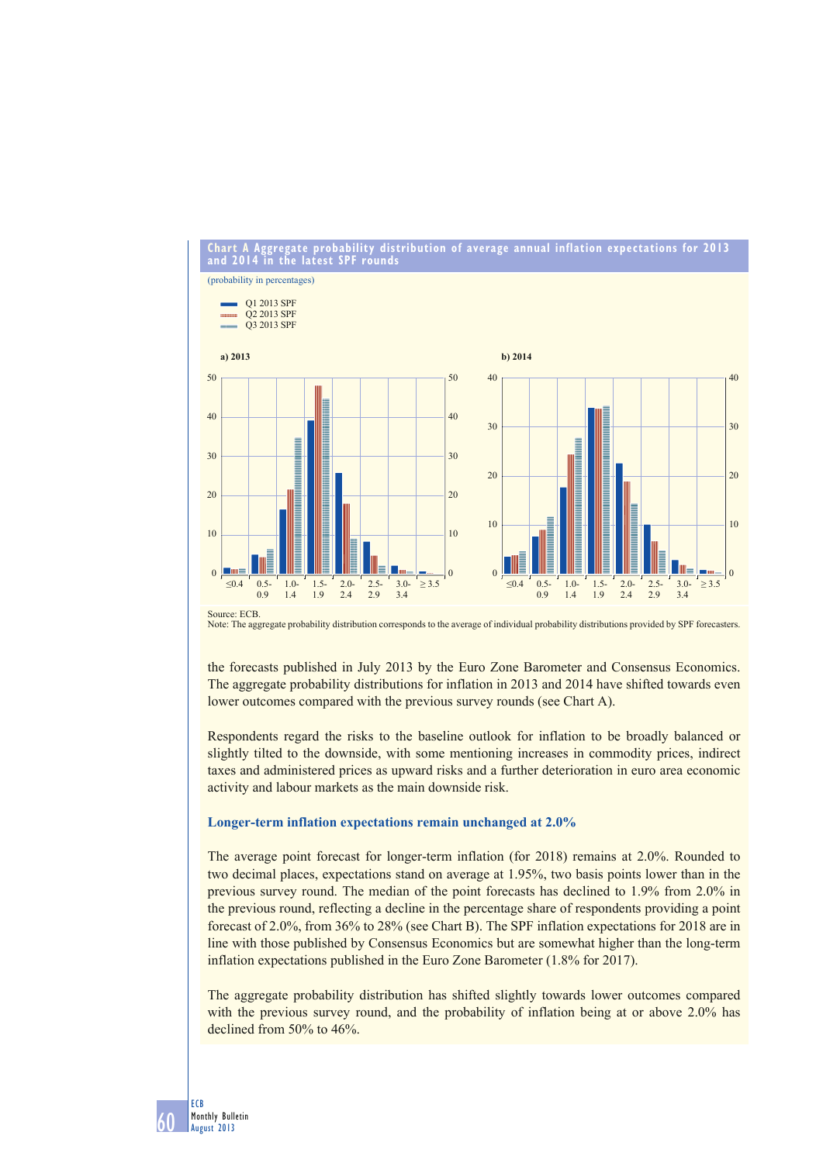#### **Chart A Aggregate probability distribution of average annual inflation expectations for 2013 and 2014 in the latest SPF rounds**

(probability in percentages) Q1 2013 SPF Q2 2013 SPF month Q3 2013 SPF **a) 2013 b) 2014** 50 50 40 40 40 40 30 30 30 30  $20$ 20 20 20 10 10 10 10  $\Omega$  $\overline{0}$  $\Omega$ **I** III  $\Omega$  $\leq 0.4$  0.5  $1.0<sub>1</sub>$  $1.5.$  $20<sub>1</sub>$  $2.5 3.0 \geq$  3.5  $\leq 0.4$  0.5 1.0- 1.5- 2.0- 2.5- 3.0-  $\geq$  3.5  $1.5$  $20<sub>0</sub>$  $25$  $3.0 0.9$  $1.4$ 1.9  $2.4$  $2.9$  $34$  $0.9$  $1.4$  $19$  $24$  $29$  $34$ 

Source: ECB. Note: The aggregate probability distribution corresponds to the average of individual probability distributions provided by SPF forecasters.

the forecasts published in July 2013 by the Euro Zone Barometer and Consensus Economics. The aggregate probability distributions for inflation in 2013 and 2014 have shifted towards even lower outcomes compared with the previous survey rounds (see Chart A).

Respondents regard the risks to the baseline outlook for inflation to be broadly balanced or slightly tilted to the downside, with some mentioning increases in commodity prices, indirect taxes and administered prices as upward risks and a further deterioration in euro area economic activity and labour markets as the main downside risk.

## **Longer-term inflation expectations remain unchanged at 2.0%**

The average point forecast for longer-term inflation (for 2018) remains at 2.0%. Rounded to two decimal places, expectations stand on average at 1.95%, two basis points lower than in the previous survey round. The median of the point forecasts has declined to 1.9% from 2.0% in the previous round, reflecting a decline in the percentage share of respondents providing a point forecast of 2.0%, from 36% to 28% (see Chart B). The SPF inflation expectations for 2018 are in line with those published by Consensus Economics but are somewhat higher than the long-term inflation expectations published in the Euro Zone Barometer (1.8% for 2017).

The aggregate probability distribution has shifted slightly towards lower outcomes compared with the previous survey round, and the probability of inflation being at or above 2.0% has declined from 50% to 46%.

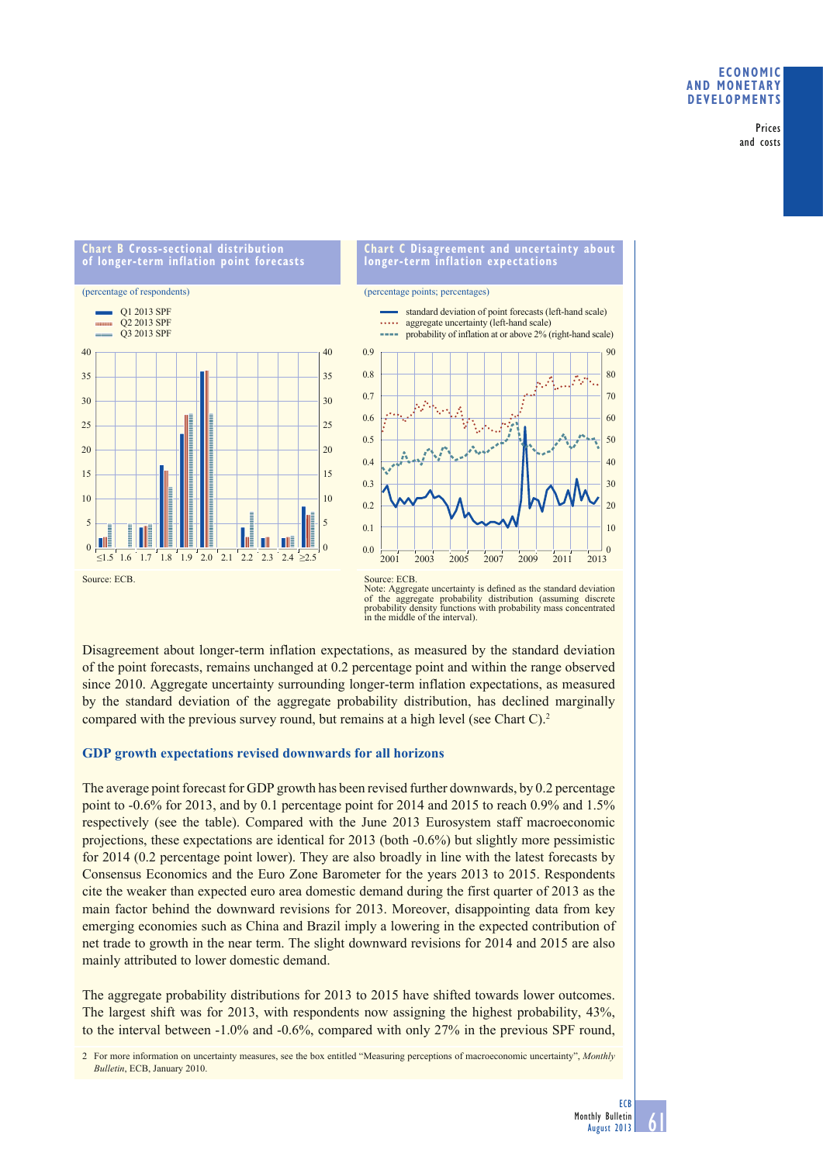## **ECONOMIC AND MONETARY DEVELOPMENTS**

Prices and costs

### **Chart B Cross-sectional distribution of longer-term inflation point forecasts**



### **Chart C Disagreement and uncertainty about longer-term inflation expectations**

(percentage points; percentages)



Note: Aggregate uncertainty is defined as the standard deviation of the aggregate probability distribution (assuming discrete probability density functions with probability mass concentrated in the middle of the interval).

Disagreement about longer-term inflation expectations, as measured by the standard deviation of the point forecasts, remains unchanged at 0.2 percentage point and within the range observed since 2010. Aggregate uncertainty surrounding longer-term inflation expectations, as measured by the standard deviation of the aggregate probability distribution, has declined marginally compared with the previous survey round, but remains at a high level (see Chart C).<sup>2</sup>

# **GDP growth expectations revised downwards for all horizons**

The average point forecast for GDP growth has been revised further downwards, by 0.2 percentage point to -0.6% for 2013, and by 0.1 percentage point for 2014 and 2015 to reach 0.9% and 1.5% respectively (see the table). Compared with the June 2013 Eurosystem staff macroeconomic projections, these expectations are identical for 2013 (both -0.6%) but slightly more pessimistic for 2014 (0.2 percentage point lower). They are also broadly in line with the latest forecasts by Consensus Economics and the Euro Zone Barometer for the years 2013 to 2015. Respondents cite the weaker than expected euro area domestic demand during the first quarter of 2013 as the main factor behind the downward revisions for 2013. Moreover, disappointing data from key emerging economies such as China and Brazil imply a lowering in the expected contribution of net trade to growth in the near term. The slight downward revisions for 2014 and 2015 are also mainly attributed to lower domestic demand.

The aggregate probability distributions for 2013 to 2015 have shifted towards lower outcomes. The largest shift was for 2013, with respondents now assigning the highest probability, 43%, to the interval between -1.0% and -0.6%, compared with only 27% in the previous SPF round,

2 For more information on uncertainty measures, see the box entitled "Measuring perceptions of macroeconomic uncertainty", *Monthly Bulletin*, ECB, January 2010.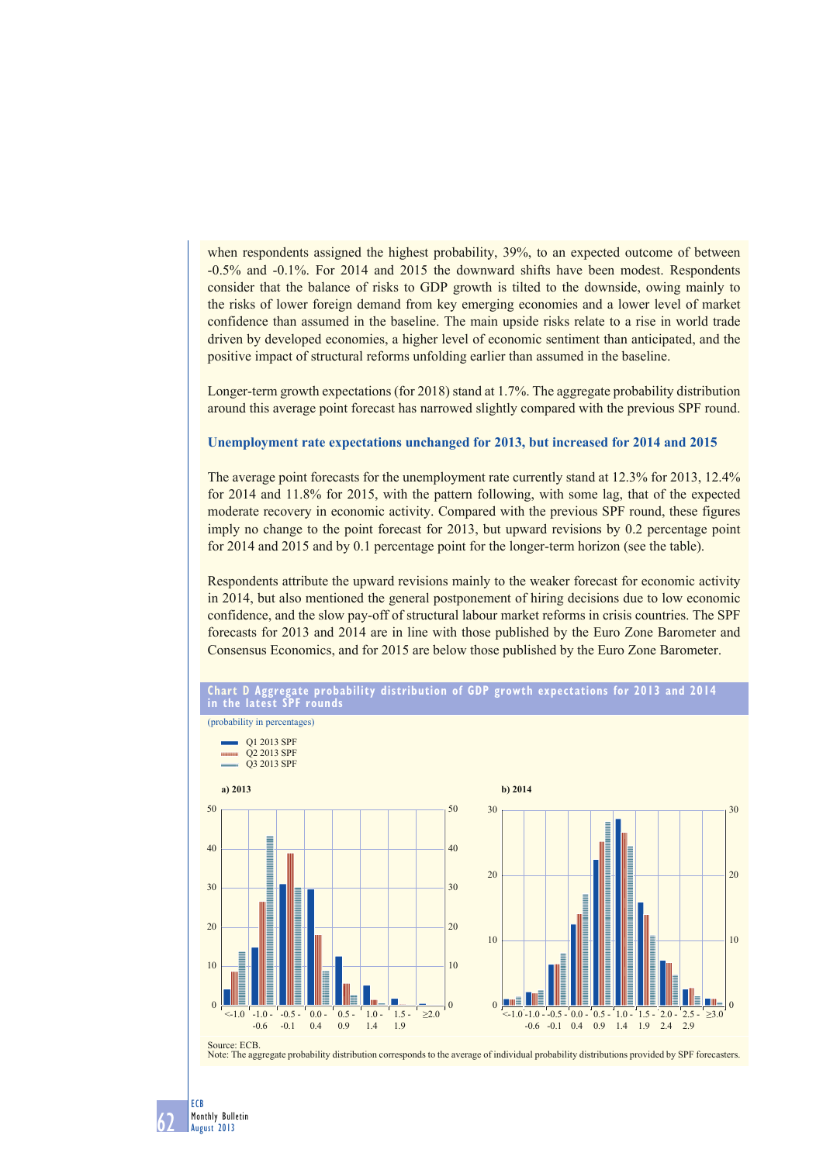when respondents assigned the highest probability, 39%, to an expected outcome of between -0.5% and -0.1%. For 2014 and 2015 the downward shifts have been modest. Respondents consider that the balance of risks to GDP growth is tilted to the downside, owing mainly to the risks of lower foreign demand from key emerging economies and a lower level of market confidence than assumed in the baseline. The main upside risks relate to a rise in world trade driven by developed economies, a higher level of economic sentiment than anticipated, and the positive impact of structural reforms unfolding earlier than assumed in the baseline.

Longer-term growth expectations (for 2018) stand at 1.7%. The aggregate probability distribution around this average point forecast has narrowed slightly compared with the previous SPF round.

#### **Unemployment rate expectations unchanged for 2013, but increased for 2014 and 2015**

The average point forecasts for the unemployment rate currently stand at 12.3% for 2013, 12.4% for 2014 and 11.8% for 2015, with the pattern following, with some lag, that of the expected moderate recovery in economic activity. Compared with the previous SPF round, these figures imply no change to the point forecast for 2013, but upward revisions by 0.2 percentage point for 2014 and 2015 and by 0.1 percentage point for the longer-term horizon (see the table).

Respondents attribute the upward revisions mainly to the weaker forecast for economic activity in 2014, but also mentioned the general postponement of hiring decisions due to low economic confidence, and the slow pay-off of structural labour market reforms in crisis countries. The SPF forecasts for 2013 and 2014 are in line with those published by the Euro Zone Barometer and Consensus Economics, and for 2015 are below those published by the Euro Zone Barometer.





Note: The aggregate probability distribution corresponds to the average of individual probability distributions provided by SPF forecasters.

ECB